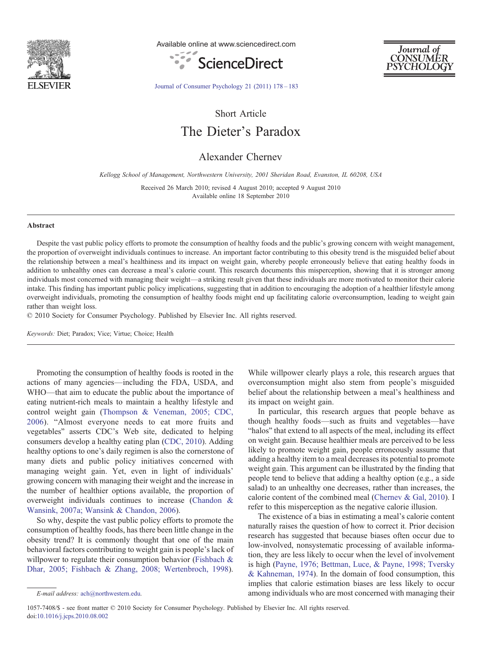

Available online at www.sciencedirect.com





[Journal of Consumer Psychology 21 \(2011\) 178](http://dx.doi.org/10.1016/j.jcps.2010.08.002)–183

Short Article

The Dieter's Paradox

Alexander Chernev

Kellogg School of Management, Northwestern University, 2001 Sheridan Road, Evanston, IL 60208, USA

Received 26 March 2010; revised 4 August 2010; accepted 9 August 2010 Available online 18 September 2010

### Abstract

Despite the vast public policy efforts to promote the consumption of healthy foods and the public's growing concern with weight management, the proportion of overweight individuals continues to increase. An important factor contributing to this obesity trend is the misguided belief about the relationship between a meal's healthiness and its impact on weight gain, whereby people erroneously believe that eating healthy foods in addition to unhealthy ones can decrease a meal's calorie count. This research documents this misperception, showing that it is stronger among individuals most concerned with managing their weight—a striking result given that these individuals are more motivated to monitor their calorie intake. This finding has important public policy implications, suggesting that in addition to encouraging the adoption of a healthier lifestyle among overweight individuals, promoting the consumption of healthy foods might end up facilitating calorie overconsumption, leading to weight gain rather than weight loss.

© 2010 Society for Consumer Psychology. Published by Elsevier Inc. All rights reserved.

Keywords: Diet; Paradox; Vice; Virtue; Choice; Health

Promoting the consumption of healthy foods is rooted in the actions of many agencies—including the FDA, USDA, and WHO—that aim to educate the public about the importance of eating nutrient-rich meals to maintain a healthy lifestyle and control weight gain ([Thompson & Veneman, 2005; CDC,](#page-5-0) [2006](#page-5-0)). "Almost everyone needs to eat more fruits and vegetables" asserts CDC's Web site, dedicated to helping consumers develop a healthy eating plan ([CDC, 2010\)](#page-5-0). Adding healthy options to one's daily regimen is also the cornerstone of many diets and public policy initiatives concerned with managing weight gain. Yet, even in light of individuals' growing concern with managing their weight and the increase in the number of healthier options available, the proportion of overweight individuals continues to increase ([Chandon &](#page-5-0) [Wansink, 2007a; Wansink & Chandon, 2006\)](#page-5-0).

So why, despite the vast public policy efforts to promote the consumption of healthy foods, has there been little change in the obesity trend? It is commonly thought that one of the main behavioral factors contributing to weight gain is people's lack of willpower to regulate their consumption behavior [\(Fishbach &](#page-5-0) [Dhar, 2005; Fishbach & Zhang, 2008; Wertenbroch, 1998](#page-5-0)).

In particular, this research argues that people behave as though healthy foods—such as fruits and vegetables—have "halos" that extend to all aspects of the meal, including its effect on weight gain. Because healthier meals are perceived to be less likely to promote weight gain, people erroneously assume that adding a healthy item to a meal decreases its potential to promote weight gain. This argument can be illustrated by the finding that people tend to believe that adding a healthy option (e.g., a side salad) to an unhealthy one decreases, rather than increases, the calorie content of the combined meal [\(Chernev & Gal, 2010](#page-5-0)). I refer to this misperception as the negative calorie illusion.

The existence of a bias in estimating a meal's calorie content naturally raises the question of how to correct it. Prior decision research has suggested that because biases often occur due to low-involved, nonsystematic processing of available information, they are less likely to occur when the level of involvement is high [\(Payne, 1976; Bettman, Luce, & Payne, 1998; Tversky](#page-5-0) [& Kahneman, 1974\)](#page-5-0). In the domain of food consumption, this implies that calorie estimation biases are less likely to occur among individuals who are most concerned with managing their

While willpower clearly plays a role, this research argues that overconsumption might also stem from people's misguided belief about the relationship between a meal's healthiness and its impact on weight gain.

E-mail address: [ach@northwestern.edu.](mailto:ach@northwestern.edu)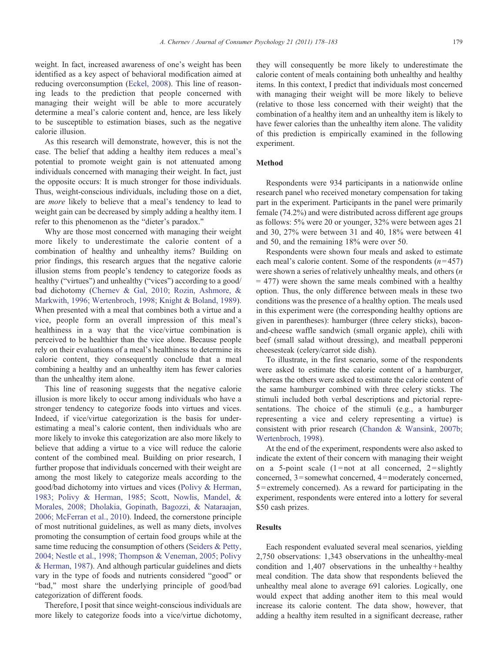weight. In fact, increased awareness of one's weight has been identified as a key aspect of behavioral modification aimed at reducing overconsumption [\(Eckel, 2008](#page-5-0)). This line of reasoning leads to the prediction that people concerned with managing their weight will be able to more accurately determine a meal's calorie content and, hence, are less likely to be susceptible to estimation biases, such as the negative calorie illusion.

As this research will demonstrate, however, this is not the case. The belief that adding a healthy item reduces a meal's potential to promote weight gain is not attenuated among individuals concerned with managing their weight. In fact, just the opposite occurs: It is much stronger for those individuals. Thus, weight-conscious individuals, including those on a diet, are more likely to believe that a meal's tendency to lead to weight gain can be decreased by simply adding a healthy item. I refer to this phenomenon as the "dieter's paradox."

Why are those most concerned with managing their weight more likely to underestimate the calorie content of a combination of healthy and unhealthy items? Building on prior findings, this research argues that the negative calorie illusion stems from people's tendency to categorize foods as healthy ("virtues") and unhealthy ("vices") according to a good/ bad dichotomy ([Chernev & Gal, 2010; Rozin, Ashmore, &](#page-5-0) [Markwith, 1996; Wertenbroch, 1998; Knight & Boland, 1989\)](#page-5-0). When presented with a meal that combines both a virtue and a vice, people form an overall impression of this meal's healthiness in a way that the vice/virtue combination is perceived to be healthier than the vice alone. Because people rely on their evaluations of a meal's healthiness to determine its calorie content, they consequently conclude that a meal combining a healthy and an unhealthy item has fewer calories than the unhealthy item alone.

This line of reasoning suggests that the negative calorie illusion is more likely to occur among individuals who have a stronger tendency to categorize foods into virtues and vices. Indeed, if vice/virtue categorization is the basis for underestimating a meal's calorie content, then individuals who are more likely to invoke this categorization are also more likely to believe that adding a virtue to a vice will reduce the calorie content of the combined meal. Building on prior research, I further propose that individuals concerned with their weight are among the most likely to categorize meals according to the good/bad dichotomy into virtues and vices ([Polivy & Herman,](#page-5-0) [1983; Polivy & Herman, 1985; Scott, Nowlis, Mandel, &](#page-5-0) [Morales, 2008; Dholakia, Gopinath, Bagozzi, & Nataraajan,](#page-5-0) [2006; McFerran et al., 2010](#page-5-0)). Indeed, the cornerstone principle of most nutritional guidelines, as well as many diets, involves promoting the consumption of certain food groups while at the same time reducing the consumption of others ([Seiders & Petty,](#page-5-0) [2004; Nestle et al., 1998; Thompson & Veneman, 2005; Polivy](#page-5-0) [& Herman, 1987\)](#page-5-0). And although particular guidelines and diets vary in the type of foods and nutrients considered "good" or "bad," most share the underlying principle of good/bad categorization of different foods.

Therefore, I posit that since weight-conscious individuals are more likely to categorize foods into a vice/virtue dichotomy, they will consequently be more likely to underestimate the calorie content of meals containing both unhealthy and healthy items. In this context, I predict that individuals most concerned with managing their weight will be more likely to believe (relative to those less concerned with their weight) that the combination of a healthy item and an unhealthy item is likely to have fewer calories than the unhealthy item alone. The validity of this prediction is empirically examined in the following experiment.

# Method

Respondents were 934 participants in a nationwide online research panel who received monetary compensation for taking part in the experiment. Participants in the panel were primarily female (74.2%) and were distributed across different age groups as follows: 5% were 20 or younger, 32% were between ages 21 and 30, 27% were between 31 and 40, 18% were between 41 and 50, and the remaining 18% were over 50.

Respondents were shown four meals and asked to estimate each meal's calorie content. Some of the respondents  $(n=457)$ were shown a series of relatively unhealthy meals, and others (*n*  $= 477$ ) were shown the same meals combined with a healthy option. Thus, the only difference between meals in these two conditions was the presence of a healthy option. The meals used in this experiment were (the corresponding healthy options are given in parentheses): hamburger (three celery sticks), baconand-cheese waffle sandwich (small organic apple), chili with beef (small salad without dressing), and meatball pepperoni cheesesteak (celery/carrot side dish).

To illustrate, in the first scenario, some of the respondents were asked to estimate the calorie content of a hamburger, whereas the others were asked to estimate the calorie content of the same hamburger combined with three celery sticks. The stimuli included both verbal descriptions and pictorial representations. The choice of the stimuli (e.g., a hamburger representing a vice and celery representing a virtue) is consistent with prior research ([Chandon & Wansink, 2007b;](#page-5-0) [Wertenbroch, 1998\)](#page-5-0).

At the end of the experiment, respondents were also asked to indicate the extent of their concern with managing their weight on a 5-point scale  $(1 = not at all concerned, 2 = slightly$ concerned, 3=somewhat concerned, 4=moderately concerned, 5 = extremely concerned). As a reward for participating in the experiment, respondents were entered into a lottery for several \$50 cash prizes.

### **Results**

Each respondent evaluated several meal scenarios, yielding 2,750 observations: 1,343 observations in the unhealthy-meal condition and 1,407 observations in the unhealthy + healthy meal condition. The data show that respondents believed the unhealthy meal alone to average 691 calories. Logically, one would expect that adding another item to this meal would increase its calorie content. The data show, however, that adding a healthy item resulted in a significant decrease, rather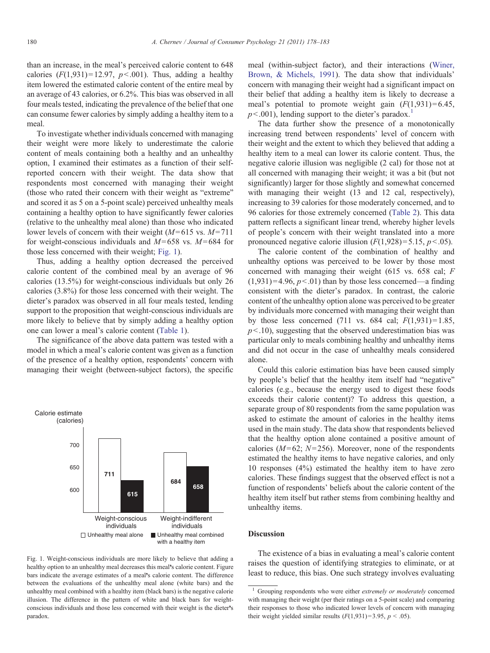than an increase, in the meal's perceived calorie content to 648 calories  $(F(1, 931) = 12.97, p<0.001)$ . Thus, adding a healthy item lowered the estimated calorie content of the entire meal by an average of 43 calories, or 6.2%. This bias was observed in all four meals tested, indicating the prevalence of the belief that one can consume fewer calories by simply adding a healthy item to a meal.

To investigate whether individuals concerned with managing their weight were more likely to underestimate the calorie content of meals containing both a healthy and an unhealthy option, I examined their estimates as a function of their selfreported concern with their weight. The data show that respondents most concerned with managing their weight (those who rated their concern with their weight as "extreme" and scored it as 5 on a 5-point scale) perceived unhealthy meals containing a healthy option to have significantly fewer calories (relative to the unhealthy meal alone) than those who indicated lower levels of concern with their weight ( $M=615$  vs.  $M=711$ for weight-conscious individuals and  $M=658$  vs.  $M=684$  for those less concerned with their weight; Fig. 1).

Thus, adding a healthy option decreased the perceived calorie content of the combined meal by an average of 96 calories (13.5%) for weight-conscious individuals but only 26 calories (3.8%) for those less concerned with their weight. The dieter's paradox was observed in all four meals tested, lending support to the proposition that weight-conscious individuals are more likely to believe that by simply adding a healthy option one can lower a meal's calorie content ([Table 1](#page-3-0)).

The significance of the above data pattern was tested with a model in which a meal's calorie content was given as a function of the presence of a healthy option, respondents' concern with managing their weight (between-subject factors), the specific



Fig. 1. Weight-conscious individuals are more likely to believe that adding a healthy option to an unhealthy meal decreases this meal's calorie content. Figure bars indicate the average estimates of a meal's calorie content. The difference between the evaluations of the unhealthy meal alone (white bars) and the unhealthy meal combined with a healthy item (black bars) is the negative calorie illusion. The difference in the pattern of white and black bars for weightconscious individuals and those less concerned with their weight is the dieter's paradox.

meal (within-subject factor), and their interactions ([Winer,](#page-5-0) [Brown, & Michels, 1991\)](#page-5-0). The data show that individuals' concern with managing their weight had a significant impact on their belief that adding a healthy item is likely to decrease a meal's potential to promote weight gain  $(F(1,931) = 6.45$ ,  $p<.001$ ), lending support to the dieter's paradox.<sup>1</sup>

The data further show the presence of a monotonically increasing trend between respondents' level of concern with their weight and the extent to which they believed that adding a healthy item to a meal can lower its calorie content. Thus, the negative calorie illusion was negligible (2 cal) for those not at all concerned with managing their weight; it was a bit (but not significantly) larger for those slightly and somewhat concerned with managing their weight (13 and 12 cal, respectively), increasing to 39 calories for those moderately concerned, and to 96 calories for those extremely concerned [\(Table 2\)](#page-3-0). This data pattern reflects a significant linear trend, whereby higher levels of people's concern with their weight translated into a more pronounced negative calorie illusion  $(F(1, 928) = 5.15, p < 0.05)$ .

The calorie content of the combination of healthy and unhealthy options was perceived to be lower by those most concerned with managing their weight (615 vs. 658 cal; F  $(1,931) = 4.96$ ,  $p < .01$ ) than by those less concerned—a finding consistent with the dieter's paradox. In contrast, the calorie content of the unhealthy option alone was perceived to be greater by individuals more concerned with managing their weight than by those less concerned (711 vs. 684 cal;  $F(1,931) = 1.85$ ,  $p<.10$ ), suggesting that the observed underestimation bias was particular only to meals combining healthy and unhealthy items and did not occur in the case of unhealthy meals considered alone.

Could this calorie estimation bias have been caused simply by people's belief that the healthy item itself had "negative" calories (e.g., because the energy used to digest these foods exceeds their calorie content)? To address this question, a separate group of 80 respondents from the same population was asked to estimate the amount of calories in the healthy items used in the main study. The data show that respondents believed that the healthy option alone contained a positive amount of calories ( $M=62$ ;  $N=256$ ). Moreover, none of the respondents estimated the healthy items to have negative calories, and only 10 responses (4%) estimated the healthy item to have zero calories. These findings suggest that the observed effect is not a function of respondents' beliefs about the calorie content of the healthy item itself but rather stems from combining healthy and unhealthy items.

# **Discussion**

The existence of a bias in evaluating a meal's calorie content raises the question of identifying strategies to eliminate, or at least to reduce, this bias. One such strategy involves evaluating

Grouping respondents who were either extremely or moderately concerned with managing their weight (per their ratings on a 5-point scale) and comparing their responses to those who indicated lower levels of concern with managing their weight yielded similar results  $(F(1,931)=3.95, p < .05)$ .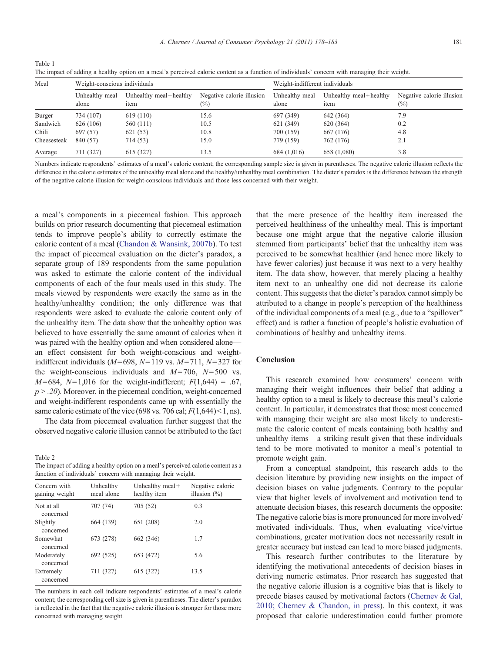A. Chernev / Journal of Consumer Psychology 21 (2011) 178–183 181

<span id="page-3-0"></span>

| Table 1                                                                                                                                       |  |
|-----------------------------------------------------------------------------------------------------------------------------------------------|--|
| The impact of adding a healthy option on a meal's perceived calorie content as a function of individuals' concern with managing their weight. |  |

| Meal        | Weight-conscious individuals |                                |                                     | Weight-indifferent individuals |                                |                                     |
|-------------|------------------------------|--------------------------------|-------------------------------------|--------------------------------|--------------------------------|-------------------------------------|
|             | Unhealthy meal<br>alone      | Unhealthy meal+healthy<br>item | Negative calorie illusion<br>$(\%)$ | Unhealthy meal<br>alone        | Unhealthy meal+healthy<br>item | Negative calorie illusion<br>$(\%)$ |
| Burger      | 734 (107)                    | 619 (110)                      | 15.6                                | 697 (349)                      | 642 (364)                      | 7.9                                 |
| Sandwich    | 626 (106)                    | 560 (111)                      | 10.5                                | 621 (349)                      | 620 (364)                      | 0.2                                 |
| Chili       | 697 (57)                     | 621 (53)                       | 10.8                                | 700 (159)                      | 667 (176)                      | 4.8                                 |
| Cheesesteak | 840 (57)                     | 714 (53)                       | 15.0                                | 779 (159)                      | 762 (176)                      | 2.1                                 |
| Average     | 711 (327)                    | 615 (327)                      | 13.5                                | 684 (1,016)                    | 658 (1,080)                    | 3.8                                 |

Numbers indicate respondents' estimates of a meal's calorie content; the corresponding sample size is given in parentheses. The negative calorie illusion reflects the difference in the calorie estimates of the unhealthy meal alone and the healthy/unhealthy meal combination. The dieter's paradox is the difference between the strength of the negative calorie illusion for weight-conscious individuals and those less concerned with their weight.

a meal's components in a piecemeal fashion. This approach builds on prior research documenting that piecemeal estimation tends to improve people's ability to correctly estimate the calorie content of a meal [\(Chandon & Wansink, 2007b\)](#page-5-0). To test the impact of piecemeal evaluation on the dieter's paradox, a separate group of 189 respondents from the same population was asked to estimate the calorie content of the individual components of each of the four meals used in this study. The meals viewed by respondents were exactly the same as in the healthy/unhealthy condition; the only difference was that respondents were asked to evaluate the calorie content only of the unhealthy item. The data show that the unhealthy option was believed to have essentially the same amount of calories when it was paired with the healthy option and when considered alone an effect consistent for both weight-conscious and weightindifferent individuals ( $M=698$ ,  $N=119$  vs.  $M=711$ ,  $N=327$  for the weight-conscious individuals and  $M=706$ ,  $N=500$  vs.  $M= 684$ ,  $N= 1,016$  for the weight-indifferent;  $F(1,644) = .67$ ,  $p > .20$ ). Moreover, in the piecemeal condition, weight-concerned and weight-indifferent respondents came up with essentially the same calorie estimate of the vice (698 vs. 706 cal;  $F(1,644) < 1$ , ns).

The data from piecemeal evaluation further suggest that the observed negative calorie illusion cannot be attributed to the fact

Table 2

The impact of adding a healthy option on a meal's perceived calorie content as a function of individuals' concern with managing their weight.

| Concern with<br>gaining weight | Unhealthy<br>meal alone | Unhealthy meal+<br>healthy item | Negative calorie<br>illusion $(\%)$ |  |  |  |  |
|--------------------------------|-------------------------|---------------------------------|-------------------------------------|--|--|--|--|
| Not at all<br>concerned        | 707 (74)                | 705 (52)                        | 0.3                                 |  |  |  |  |
| Slightly<br>concerned          | 664 (139)               | 651 (208)                       | 2.0                                 |  |  |  |  |
| Somewhat<br>concerned          | 673 (278)               | 662 (346)                       | 1.7                                 |  |  |  |  |
| Moderately<br>concerned        | 692 (525)               | 653 (472)                       | 5.6                                 |  |  |  |  |
| Extremely<br>concerned         | 711 (327)               | 615 (327)                       | 13.5                                |  |  |  |  |

The numbers in each cell indicate respondents' estimates of a meal's calorie content; the corresponding cell size is given in parentheses. The dieter's paradox is reflected in the fact that the negative calorie illusion is stronger for those more concerned with managing weight.

that the mere presence of the healthy item increased the perceived healthiness of the unhealthy meal. This is important because one might argue that the negative calorie illusion stemmed from participants' belief that the unhealthy item was perceived to be somewhat healthier (and hence more likely to have fewer calories) just because it was next to a very healthy item. The data show, however, that merely placing a healthy item next to an unhealthy one did not decrease its calorie content. This suggests that the dieter's paradox cannot simply be attributed to a change in people's perception of the healthiness of the individual components of a meal (e.g., due to a "spillover" effect) and is rather a function of people's holistic evaluation of combinations of healthy and unhealthy items.

### Conclusion

This research examined how consumers' concern with managing their weight influences their belief that adding a healthy option to a meal is likely to decrease this meal's calorie content. In particular, it demonstrates that those most concerned with managing their weight are also most likely to underestimate the calorie content of meals containing both healthy and unhealthy items—a striking result given that these individuals tend to be more motivated to monitor a meal's potential to promote weight gain.

From a conceptual standpoint, this research adds to the decision literature by providing new insights on the impact of decision biases on value judgments. Contrary to the popular view that higher levels of involvement and motivation tend to attenuate decision biases, this research documents the opposite: The negative calorie bias is more pronounced for more involved/ motivated individuals. Thus, when evaluating vice/virtue combinations, greater motivation does not necessarily result in greater accuracy but instead can lead to more biased judgments.

This research further contributes to the literature by identifying the motivational antecedents of decision biases in deriving numeric estimates. Prior research has suggested that the negative calorie illusion is a cognitive bias that is likely to precede biases caused by motivational factors [\(Chernev & Gal,](#page-5-0) [2010; Chernev & Chandon, in press\)](#page-5-0). In this context, it was proposed that calorie underestimation could further promote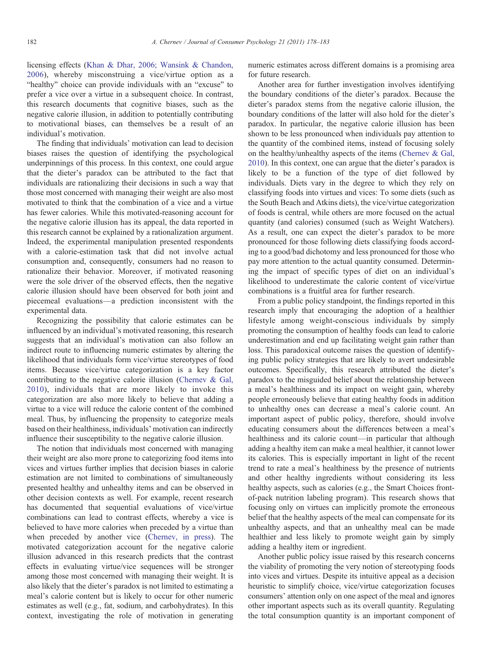licensing effects [\(Khan & Dhar, 2006; Wansink & Chandon,](#page-5-0) [2006](#page-5-0)), whereby misconstruing a vice/virtue option as a "healthy" choice can provide individuals with an "excuse" to prefer a vice over a virtue in a subsequent choice. In contrast, this research documents that cognitive biases, such as the negative calorie illusion, in addition to potentially contributing to motivational biases, can themselves be a result of an individual's motivation.

The finding that individuals' motivation can lead to decision biases raises the question of identifying the psychological underpinnings of this process. In this context, one could argue that the dieter's paradox can be attributed to the fact that individuals are rationalizing their decisions in such a way that those most concerned with managing their weight are also most motivated to think that the combination of a vice and a virtue has fewer calories. While this motivated-reasoning account for the negative calorie illusion has its appeal, the data reported in this research cannot be explained by a rationalization argument. Indeed, the experimental manipulation presented respondents with a calorie-estimation task that did not involve actual consumption and, consequently, consumers had no reason to rationalize their behavior. Moreover, if motivated reasoning were the sole driver of the observed effects, then the negative calorie illusion should have been observed for both joint and piecemeal evaluations—a prediction inconsistent with the experimental data.

Recognizing the possibility that calorie estimates can be influenced by an individual's motivated reasoning, this research suggests that an individual's motivation can also follow an indirect route to influencing numeric estimates by altering the likelihood that individuals form vice/virtue stereotypes of food items. Because vice/virtue categorization is a key factor contributing to the negative calorie illusion ([Chernev & Gal,](#page-5-0) [2010\)](#page-5-0), individuals that are more likely to invoke this categorization are also more likely to believe that adding a virtue to a vice will reduce the calorie content of the combined meal. Thus, by influencing the propensity to categorize meals based on their healthiness, individuals' motivation can indirectly influence their susceptibility to the negative calorie illusion.

The notion that individuals most concerned with managing their weight are also more prone to categorizing food items into vices and virtues further implies that decision biases in calorie estimation are not limited to combinations of simultaneously presented healthy and unhealthy items and can be observed in other decision contexts as well. For example, recent research has documented that sequential evaluations of vice/virtue combinations can lead to contrast effects, whereby a vice is believed to have more calories when preceded by a virtue than when preceded by another vice [\(Chernev, in press](#page-5-0)). The motivated categorization account for the negative calorie illusion advanced in this research predicts that the contrast effects in evaluating virtue/vice sequences will be stronger among those most concerned with managing their weight. It is also likely that the dieter's paradox is not limited to estimating a meal's calorie content but is likely to occur for other numeric estimates as well (e.g., fat, sodium, and carbohydrates). In this context, investigating the role of motivation in generating numeric estimates across different domains is a promising area for future research.

Another area for further investigation involves identifying the boundary conditions of the dieter's paradox. Because the dieter's paradox stems from the negative calorie illusion, the boundary conditions of the latter will also hold for the dieter's paradox. In particular, the negative calorie illusion has been shown to be less pronounced when individuals pay attention to the quantity of the combined items, instead of focusing solely on the healthy/unhealthy aspects of the items ([Chernev & Gal,](#page-5-0) [2010\)](#page-5-0). In this context, one can argue that the dieter's paradox is likely to be a function of the type of diet followed by individuals. Diets vary in the degree to which they rely on classifying foods into virtues and vices: To some diets (such as the South Beach and Atkins diets), the vice/virtue categorization of foods is central, while others are more focused on the actual quantity (and calories) consumed (such as Weight Watchers). As a result, one can expect the dieter's paradox to be more pronounced for those following diets classifying foods according to a good/bad dichotomy and less pronounced for those who pay more attention to the actual quantity consumed. Determining the impact of specific types of diet on an individual's likelihood to underestimate the calorie content of vice/virtue combinations is a fruitful area for further research.

From a public policy standpoint, the findings reported in this research imply that encouraging the adoption of a healthier lifestyle among weight-conscious individuals by simply promoting the consumption of healthy foods can lead to calorie underestimation and end up facilitating weight gain rather than loss. This paradoxical outcome raises the question of identifying public policy strategies that are likely to avert undesirable outcomes. Specifically, this research attributed the dieter's paradox to the misguided belief about the relationship between a meal's healthiness and its impact on weight gain, whereby people erroneously believe that eating healthy foods in addition to unhealthy ones can decrease a meal's calorie count. An important aspect of public policy, therefore, should involve educating consumers about the differences between a meal's healthiness and its calorie count—in particular that although adding a healthy item can make a meal healthier, it cannot lower its calories. This is especially important in light of the recent trend to rate a meal's healthiness by the presence of nutrients and other healthy ingredients without considering its less healthy aspects, such as calories (e.g., the Smart Choices frontof-pack nutrition labeling program). This research shows that focusing only on virtues can implicitly promote the erroneous belief that the healthy aspects of the meal can compensate for its unhealthy aspects, and that an unhealthy meal can be made healthier and less likely to promote weight gain by simply adding a healthy item or ingredient.

Another public policy issue raised by this research concerns the viability of promoting the very notion of stereotyping foods into vices and virtues. Despite its intuitive appeal as a decision heuristic to simplify choice, vice/virtue categorization focuses consumers' attention only on one aspect of the meal and ignores other important aspects such as its overall quantity. Regulating the total consumption quantity is an important component of